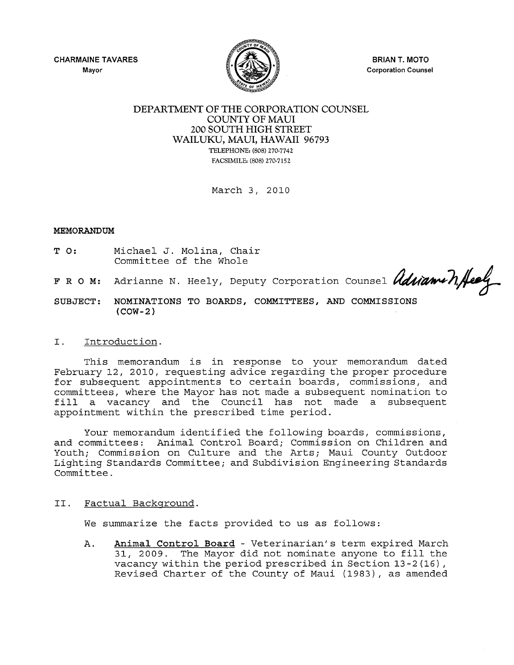CHARMAINE TAVARES Mayor



BRIAN T. MOTO Corporation Counsel

# DEPARTMENT OF THE CORPORATION COUNSEL COUNTY OF MAUl 200 SOUTH HIGH STREET WAILUKU, MAUI, HAWAII 96793 TELEPHONE: (808) 270·7742 FACSIMILE: (808) 270-7152

March *3 1 2010* 

#### MEMORANDUM

- T 0: Michael J. Molina, Chair Committee of the Whole
- F R O M: Adrianne N. Heely, Deputy Corporation Counsel *advamen. Heely*

SUBJECT: NOMINATIONS TO BOARDS, COMMITTEES, AND COMMISSIONS  $(COW-2)$ 

## I. Introduction.

This memorandum is in response to your memorandum dated February 12, 2010, requesting advice regarding the proper procedure for subsequent appointments to certain boards, commissions, and committees, where the Mayor has not made a subsequent nomination to fill a vacancy and the Council has not made a subsequent appointment within the prescribed time period.

Your memorandum identified the following boards, commissions, and committees: Animal Control *Boardi* Commission on Children and Youth; Commission on Culture and the Arts; Maui County Outdoor Lighting Standards Committee *i* and Subdivision Engineering Standards Committee.

#### II. Factual Background.

We summarize the facts provided to us as follows:

A. Animal Control Board - Veterinarian/s term expired March *<sup>31</sup> <sup>1</sup>*2009. The Mayor did not nominate anyone to fill the vacancy within the period prescribed in Section 13-2(16), Revised Charter of the County of Maui (1983), as amended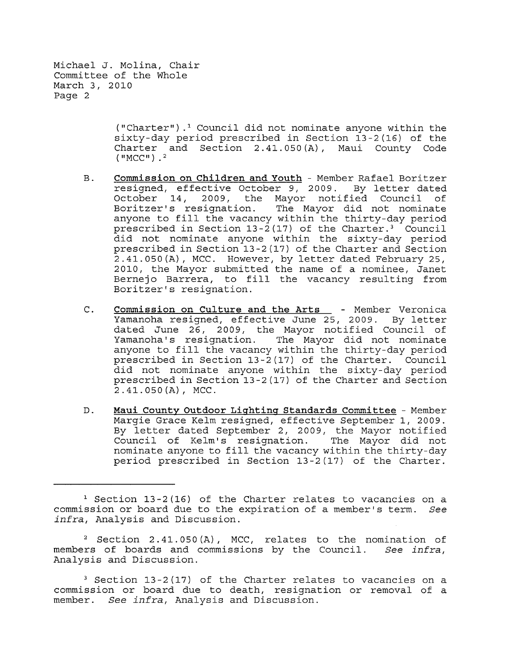Michael J. Molina, Chair Committee of the Whole March *3 1 2010*  Page 2

> ("Charter").<sup>1</sup> Council did not nominate anyone within the sixty-day period prescribed in Section 13-2(16) of the Charter and Section  $2.41.050(A)$ , Maui County Code  $(MCC")$ .<sup>2</sup>

- B. **Commission on Children and Youth**  Member Rafael Boritzer resigned, effective October 9, 2009. By letter dated October 14, 2009, the Mayor notified Council of<br>Boritzer's resignation. The Mayor did not nominate The Mayor did not nominate anyone to fill the vacancy within the thirty-day period prescribed in Section  $13-2(17)$  of the Charter.<sup>3</sup> Council did not nominate anyone within the sixty-day period prescribed in Section 13-2(17) of the Charter and Section 2.41.050(A), MCC. However, by letter dated February 25, 2010, the Mayor submitted the name of a nominee, Janet Bernejo Barrera, to fill the vacancy resulting from Boritzer's resignation.
- C. **Commission on Culture and the Arts**  Member Veronica Yamanoha resigned <sup>l</sup>effective June *<sup>25</sup>* <sup>1</sup>2009. By letter dated June 26, 2009, the Mayor notified Council of<br>Yamanoha's resignation. The Mayor did not nominate The Mayor did not nominate anyone to fill the vacancy within the thirty-day period prescribed in Section 13-2(17) of the Charter. Council did not nominate anyone within the sixty-day period prescribed in Section 13-2 (17) of the Charter and Section  $2.41.050(A)$ , MCC.
- D. **Maui County Outdoor Lighting Standards Committee**  Member Margie Grace Kelm resigned, effective September 1, 2009. By letter dated September 2, 2009, the Mayor notified Council of Kelm's resignation. The Mayor did not nominate anyone to fill the vacancy within the thirty-day period prescribed in Section 13-2(17) of the Charter.

 $2.41.050 (A)$ , MCC, relates to the nomination of members of boards and commissions by the Council. *See infra*, Analysis and Discussion.

 $3$  Section 13-2(17) of the Charter relates to vacancies on a commission or board due to death, resignation or removal of a member. *See infra*, Analysis and Discussion.

 $1$  Section 13-2(16) of the Charter relates to vacancies on a commission or board due to the expiration of a member's term. *See*  infra, Analysis and Discussion.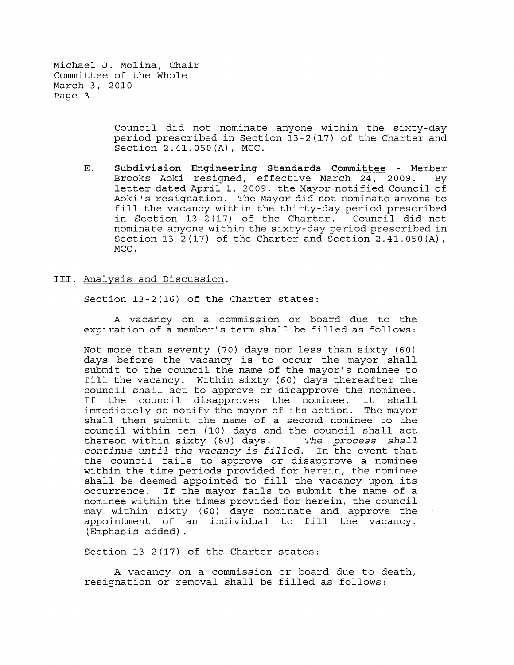Michael J. Molina, Chair Committee of the Whole March 3, 2010 Page 3

> Council did not nominate anyone within the sixty-day period prescribed in Section 13-2(17) of the Charter and Section 2.41.050(A), MCC.

E. **Subdivision Engineering Standards Committee** - Member Brooks Aoki resigned, effective March 24, 2009. By letter dated April I, 2009, the Mayor notified Council of Aoki's resignation. The Mayor did not nominate anyone to fill the vacancy within the thirty-day period prescribed in Section 13-2(17) of the Charter. Council did not nominate anyone within the sixty-day period prescribed in Section 13-2(17) of the Charter and Section 2.41.050(A), MCC.

### III. Analysis and Discussion.

Section 13-2(16) of the Charter states:

A vacancy on a commission or board due to the expiration of a member's term shall be filled as follows:

Not more than seventy (70) days nor less than sixty (60) days before the vacancy is to occur the mayor shall submit to the council the name of the mayor's nominee to fill the vacancy. Within sixty (60) days thereafter the council shall act to approve or disapprove the nominee. If the council disapproves the nominee, it shall immediately so notify the mayor of its action. The mayor shall then submit the name of a second nominee to the council within ten (10) days and the council shall act<br>thereon within sixty (60) days. The process shall thereon within sixty (60) days. *continue until the vacancy is filled.* In the event that the council fails to approve or disapprove a nominee within the time periods provided for herein, the nominee shall be deemed appointed to fill the vacancy upon its occurrence. If the mayor fails to submit the name of a nominee within the times provided for herein, the council may within sixty (60) days nominate and approve the appointment of an individual to fill the vacancy. (Emphasis added)

Section 13-2(17) of the Charter states:

A vacancy on a commission or board due to death, resignation or removal shall be filled as follows: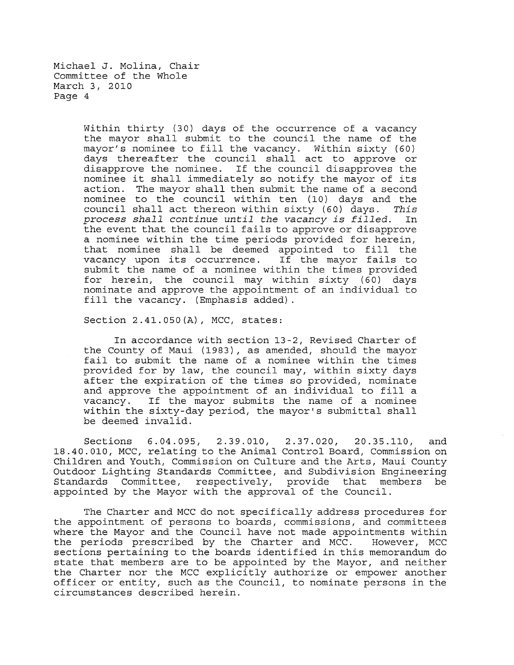Michael J. Molina, Chair Committee of the Whole March 3, 2010 Page 4

> Within thirty (30) days of the occurrence of a vacancy the mayor shall submit to the council the name of the mayor's nominee to fill the vacancy. Within sixty (60) days thereafter the council shall act to approve or disapprove the nominee. If the council disapproves the nominee it shall immediately so notify the mayor of its action. The mayor shall then submit the name of a second nominee to the council within ten (10) days and the council shall act thereon within sixty (60) days. This council shall act thereon within sixty (60) days. *process shall continue until the vacancy is filled.* In the event that the council fails to approve or disapprove a nominee within the time periods provided for herein, that nominee shall be deemed appointed to fill the vacancy upon its occurrence. If the mayor fails to submit the name of a nominee within the times provided for herein, the council may within sixty (60) days nominate and approve the appointment of an individual to fill the vacancy. (Emphasis added) .

Section 2.41.050(A), MCC, states:

In accordance with section 13-2, Revised Charter of the County of Maui (1983), as amended, should the mayor fail to submit the name of a nominee within the times provided for by law, the council may, within sixty days after the expiration of the times so provided, nominate and approve the appointment of an individual to fill a vacancy. If the mayor submits the name of a nominee within the sixty-day period, the mayor's submittal shall be deemed invalid.

Sections 6.04.095, 2.39.010, 2.37.020, 20.35.110, and 18.40.010, MCC, relating to the Animal Control Board, Commission on Children and Youth, Commission on Culture and the Arts, Maui County Outdoor Lighting Standards Committee, and Subdivision Engineering Standards Committee, respectively, provide that members be appointed by the Mayor with the approval of the Council.

The Charter and MCC do not specifically address procedures for the appointment of persons to boards, commissions, and committees where the Mayor and the Council have not made appointments within the periods prescribed by the Charter and MCC. However, MCC sections pertaining to the boards identified in this memorandum do state that members are to be appointed by the Mayor, and neither the Charter nor the MCC explicitly authorize or empower another officer or entity, such as the Council, to nominate persons in the circumstances described herein.